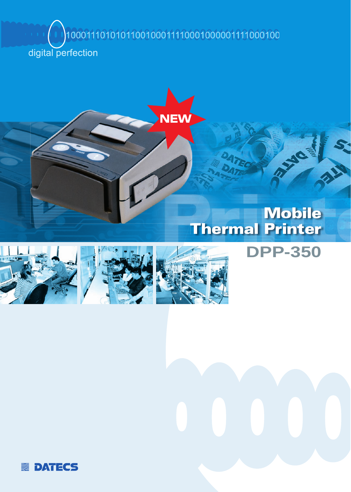1000111010101100100011110001000001111000100

digital perfection



## **Mobile** Thermal Printer

**DPP-350**







**ENDATECS**